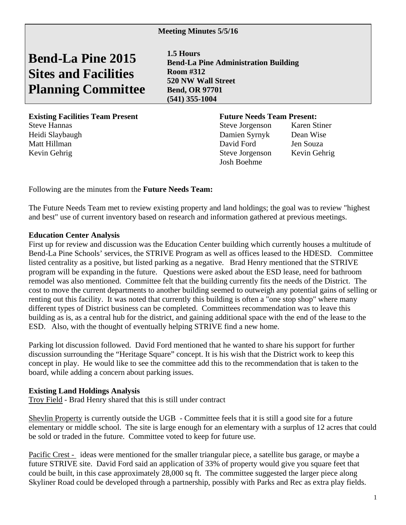**Bend-La Pine 2015 Sites and Facilities Planning Committee** 

**1.5 Hours Bend-La Pine Administration Building Room #312 520 NW Wall Street Bend, OR 97701 (541) 355-1004** 

**Existing Facilities Team Present Future Needs Team Present:** Steve Hannas Steve Jorgenson Karen Stiner Heidi Slaybaugh Damien Syrnyk Dean Wise Matt Hillman David Ford Jen Souza Kevin Gehrig Steve Jorgenson Kevin Gehrig

Josh Boehme

Following are the minutes from the **Future Needs Team:** 

The Future Needs Team met to review existing property and land holdings; the goal was to review "highest and best" use of current inventory based on research and information gathered at previous meetings.

## **Education Center Analysis**

First up for review and discussion was the Education Center building which currently houses a multitude of Bend-La Pine Schools' services, the STRIVE Program as well as offices leased to the HDESD. Committee listed centrality as a positive, but listed parking as a negative. Brad Henry mentioned that the STRIVE program will be expanding in the future. Questions were asked about the ESD lease, need for bathroom remodel was also mentioned. Committee felt that the building currently fits the needs of the District. The cost to move the current departments to another building seemed to outweigh any potential gains of selling or renting out this facility. It was noted that currently this building is often a "one stop shop" where many different types of District business can be completed. Committees recommendation was to leave this building as is, as a central hub for the district, and gaining additional space with the end of the lease to the ESD. Also, with the thought of eventually helping STRIVE find a new home.

Parking lot discussion followed. David Ford mentioned that he wanted to share his support for further discussion surrounding the "Heritage Square" concept. It is his wish that the District work to keep this concept in play. He would like to see the committee add this to the recommendation that is taken to the board, while adding a concern about parking issues.

## **Existing Land Holdings Analysis**

Troy Field - Brad Henry shared that this is still under contract

Shevlin Property is currently outside the UGB - Committee feels that it is still a good site for a future elementary or middle school. The site is large enough for an elementary with a surplus of 12 acres that could be sold or traded in the future. Committee voted to keep for future use.

Pacific Crest - ideas were mentioned for the smaller triangular piece, a satellite bus garage, or maybe a future STRIVE site. David Ford said an application of 33% of property would give you square feet that could be built, in this case approximately 28,000 sq ft. The committee suggested the larger piece along Skyliner Road could be developed through a partnership, possibly with Parks and Rec as extra play fields.